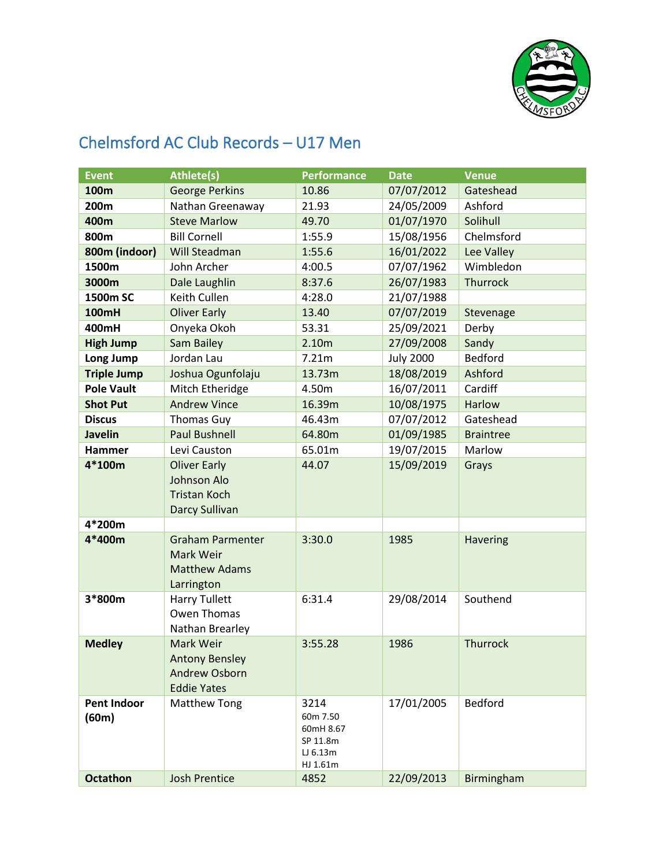

## Chelmsford AC Club Records – U17 Men

| <b>Event</b>                | <b>Athlete(s)</b>                                                           | <b>Performance</b>                                                | <b>Date</b>      | <b>Venue</b>     |
|-----------------------------|-----------------------------------------------------------------------------|-------------------------------------------------------------------|------------------|------------------|
| 100m                        | <b>George Perkins</b>                                                       | 10.86                                                             | 07/07/2012       | Gateshead        |
| 200m                        | Nathan Greenaway                                                            | 21.93                                                             | 24/05/2009       | Ashford          |
| 400m                        | <b>Steve Marlow</b>                                                         | 49.70                                                             | 01/07/1970       | Solihull         |
| 800m                        | <b>Bill Cornell</b>                                                         | 1:55.9                                                            | 15/08/1956       | Chelmsford       |
| 800m (indoor)               | Will Steadman                                                               | 1:55.6                                                            | 16/01/2022       | Lee Valley       |
| 1500m                       | John Archer                                                                 | 4:00.5                                                            | 07/07/1962       | Wimbledon        |
| 3000m                       | Dale Laughlin                                                               | 8:37.6                                                            | 26/07/1983       | Thurrock         |
| 1500m SC                    | Keith Cullen                                                                | 4:28.0                                                            | 21/07/1988       |                  |
| <b>100mH</b>                | <b>Oliver Early</b>                                                         | 13.40                                                             | 07/07/2019       | Stevenage        |
| 400mH                       | Onyeka Okoh                                                                 | 53.31                                                             | 25/09/2021       | Derby            |
| <b>High Jump</b>            | Sam Bailey                                                                  | 2.10m                                                             | 27/09/2008       | Sandy            |
| Long Jump                   | Jordan Lau                                                                  | 7.21m                                                             | <b>July 2000</b> | Bedford          |
| <b>Triple Jump</b>          | Joshua Ogunfolaju                                                           | 13.73m                                                            | 18/08/2019       | Ashford          |
| <b>Pole Vault</b>           | Mitch Etheridge                                                             | 4.50m                                                             | 16/07/2011       | Cardiff          |
| <b>Shot Put</b>             | <b>Andrew Vince</b>                                                         | 16.39m                                                            | 10/08/1975       | Harlow           |
| <b>Discus</b>               | <b>Thomas Guy</b>                                                           | 46.43m                                                            | 07/07/2012       | Gateshead        |
| <b>Javelin</b>              | <b>Paul Bushnell</b>                                                        | 64.80m                                                            | 01/09/1985       | <b>Braintree</b> |
| <b>Hammer</b>               | Levi Causton                                                                | 65.01m                                                            | 19/07/2015       | Marlow           |
| $4*100m$                    | <b>Oliver Early</b><br>Johnson Alo<br><b>Tristan Koch</b><br>Darcy Sullivan | 44.07                                                             | 15/09/2019       | Grays            |
| 4*200m                      |                                                                             |                                                                   |                  |                  |
| 4*400m                      | <b>Graham Parmenter</b><br>Mark Weir<br><b>Matthew Adams</b><br>Larrington  | 3:30.0                                                            | 1985             | <b>Havering</b>  |
| 3*800m                      | <b>Harry Tullett</b><br>Owen Thomas<br>Nathan Brearley                      | 6:31.4                                                            | 29/08/2014       | Southend         |
| <b>Medley</b>               | Mark Weir<br><b>Antony Bensley</b><br>Andrew Osborn<br><b>Eddie Yates</b>   | 3:55.28                                                           | 1986             | <b>Thurrock</b>  |
| <b>Pent Indoor</b><br>(60m) | <b>Matthew Tong</b>                                                         | 3214<br>60m 7.50<br>60mH 8.67<br>SP 11.8m<br>LJ 6.13m<br>HJ 1.61m | 17/01/2005       | <b>Bedford</b>   |
| <b>Octathon</b>             | <b>Josh Prentice</b>                                                        | 4852                                                              | 22/09/2013       | Birmingham       |